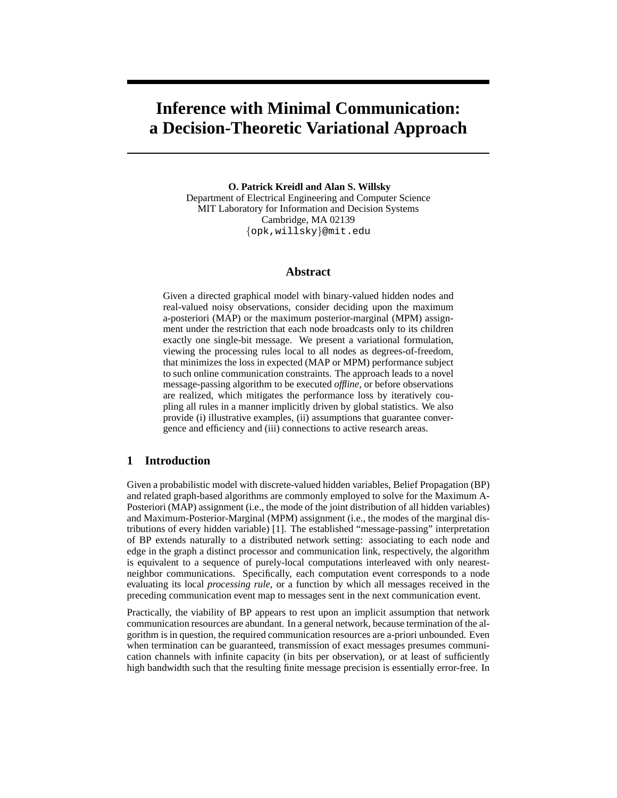# **Inference with Minimal Communication: a Decision-Theoretic Variational Approach**

**O. Patrick Kreidl and Alan S. Willsky** Department of Electrical Engineering and Computer Science MIT Laboratory for Information and Decision Systems Cambridge, MA 02139 {opk,willsky}@mit.edu

## **Abstract**

Given a directed graphical model with binary-valued hidden nodes and real-valued noisy observations, consider deciding upon the maximum a-posteriori (MAP) or the maximum posterior-marginal (MPM) assignment under the restriction that each node broadcasts only to its children exactly one single-bit message. We present a variational formulation, viewing the processing rules local to all nodes as degrees-of-freedom, that minimizes the loss in expected (MAP or MPM) performance subject to such online communication constraints. The approach leads to a novel message-passing algorithm to be executed *offline*, or before observations are realized, which mitigates the performance loss by iteratively coupling all rules in a manner implicitly driven by global statistics. We also provide (i) illustrative examples, (ii) assumptions that guarantee convergence and efficiency and (iii) connections to active research areas.

# **1 Introduction**

Given a probabilistic model with discrete-valued hidden variables, Belief Propagation (BP) and related graph-based algorithms are commonly employed to solve for the Maximum A-Posteriori (MAP) assignment (i.e., the mode of the joint distribution of all hidden variables) and Maximum-Posterior-Marginal (MPM) assignment (i.e., the modes of the marginal distributions of every hidden variable) [1]. The established "message-passing" interpretation of BP extends naturally to a distributed network setting: associating to each node and edge in the graph a distinct processor and communication link, respectively, the algorithm is equivalent to a sequence of purely-local computations interleaved with only nearestneighbor communications. Specifically, each computation event corresponds to a node evaluating its local *processing rule*, or a function by which all messages received in the preceding communication event map to messages sent in the next communication event.

Practically, the viability of BP appears to rest upon an implicit assumption that network communication resources are abundant. In a general network, because termination of the algorithm is in question, the required communication resources are a-priori unbounded. Even when termination can be guaranteed, transmission of exact messages presumes communication channels with infinite capacity (in bits per observation), or at least of sufficiently high bandwidth such that the resulting finite message precision is essentially error-free. In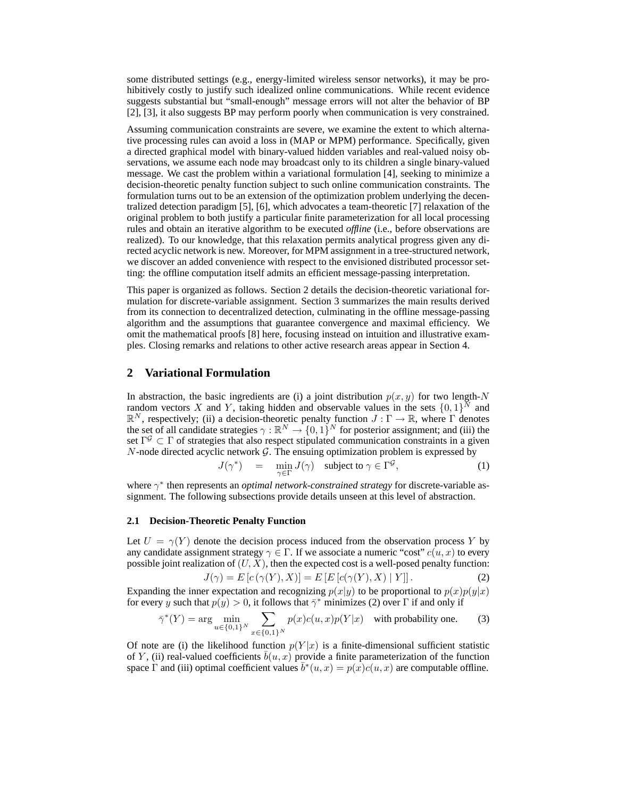some distributed settings (e.g., energy-limited wireless sensor networks), it may be prohibitively costly to justify such idealized online communications. While recent evidence suggests substantial but "small-enough" message errors will not alter the behavior of BP [2], [3], it also suggests BP may perform poorly when communication is very constrained.

Assuming communication constraints are severe, we examine the extent to which alternative processing rules can avoid a loss in (MAP or MPM) performance. Specifically, given a directed graphical model with binary-valued hidden variables and real-valued noisy observations, we assume each node may broadcast only to its children a single binary-valued message. We cast the problem within a variational formulation [4], seeking to minimize a decision-theoretic penalty function subject to such online communication constraints. The formulation turns out to be an extension of the optimization problem underlying the decentralized detection paradigm [5], [6], which advocates a team-theoretic [7] relaxation of the original problem to both justify a particular finite parameterization for all local processing rules and obtain an iterative algorithm to be executed *offline* (i.e., before observations are realized). To our knowledge, that this relaxation permits analytical progress given any directed acyclic network is new. Moreover, for MPM assignment in a tree-structured network, we discover an added convenience with respect to the envisioned distributed processor setting: the offline computation itself admits an efficient message-passing interpretation.

This paper is organized as follows. Section 2 details the decision-theoretic variational formulation for discrete-variable assignment. Section 3 summarizes the main results derived from its connection to decentralized detection, culminating in the offline message-passing algorithm and the assumptions that guarantee convergence and maximal efficiency. We omit the mathematical proofs [8] here, focusing instead on intuition and illustrative examples. Closing remarks and relations to other active research areas appear in Section 4.

## **2 Variational Formulation**

In abstraction, the basic ingredients are (i) a joint distribution  $p(x, y)$  for two length-N random vectors X and Y, taking hidden and observable values in the sets  $\{0,1\}^N$  and  $\mathbb{R}^N$ , respectively; (ii) a decision-theoretic penalty function  $J : \Gamma \to \mathbb{R}$ , where  $\Gamma$  denotes the set of all candidate strategies  $\gamma : \mathbb{R}^N \to \{0,1\}^N$  for posterior assignment; and (iii) the set  $\Gamma^{\mathcal{G}} \subset \Gamma$  of strategies that also respect stipulated communication constraints in a given  $N$ -node directed acyclic network  $\mathcal{G}$ . The ensuing optimization problem is expressed by

$$
J(\gamma^*) = \min_{\gamma \in \Gamma} J(\gamma) \quad \text{subject to } \gamma \in \Gamma^{\mathcal{G}}, \tag{1}
$$

where  $\gamma^*$  then represents an *optimal network-constrained strategy* for discrete-variable assignment. The following subsections provide details unseen at this level of abstraction.

### **2.1 Decision-Theoretic Penalty Function**

Let  $U = \gamma(Y)$  denote the decision process induced from the observation process Y by any candidate assignment strategy  $\gamma \in \Gamma$ . If we associate a numeric "cost"  $c(u, x)$  to every possible joint realization of  $(U, X)$ , then the expected cost is a well-posed penalty function:

$$
J(\gamma) = E[c(\gamma(Y), X)] = E[E[c(\gamma(Y), X) | Y]].
$$
 (2)

Expanding the inner expectation and recognizing  $p(x|y)$  to be proportional to  $p(x)p(y|x)$ for every y such that  $p(y) > 0$ , it follows that  $\bar{\gamma}^*$  minimizes (2) over  $\Gamma$  if and only if

$$
\bar{\gamma}^*(Y) = \arg \min_{u \in \{0,1\}^N} \sum_{x \in \{0,1\}^N} p(x)c(u, x)p(Y|x) \quad \text{with probability one.} \tag{3}
$$

Of note are (i) the likelihood function  $p(Y|x)$  is a finite-dimensional sufficient statistic of Y, (ii) real-valued coefficients  $b(u, x)$  provide a finite parameterization of the function space  $\Gamma$  and (iii) optimal coefficient values  $\bar{b}^*(u, x) = p(x)c(u, x)$  are computable offline.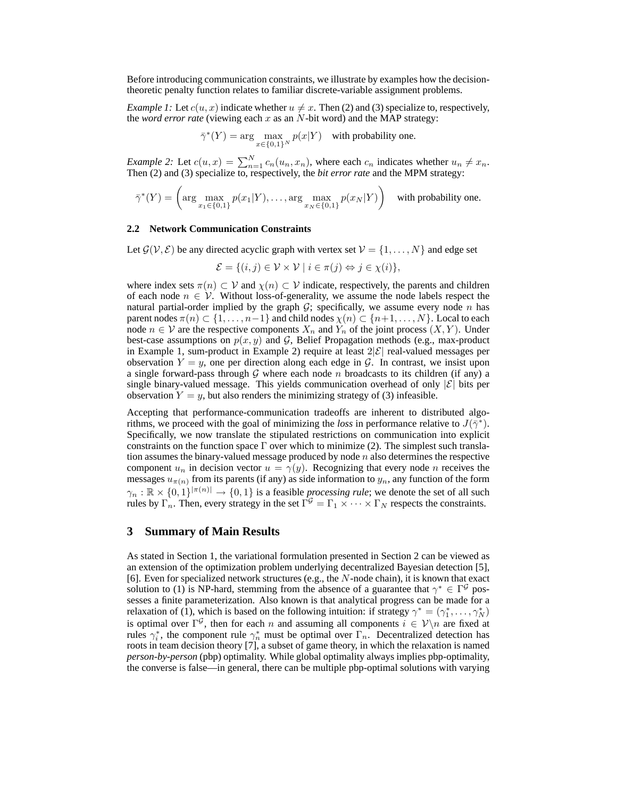Before introducing communication constraints, we illustrate by examples how the decisiontheoretic penalty function relates to familiar discrete-variable assignment problems.

*Example 1:* Let  $c(u, x)$  indicate whether  $u \neq x$ . Then (2) and (3) specialize to, respectively, the *word error rate* (viewing each  $x$  as an  $N$ -bit word) and the MAP strategy:

$$
\bar{\gamma}^*(Y) = \arg\max_{x \in \{0,1\}^N} p(x|Y) \quad \text{with probability one.}
$$

*Example 2:* Let  $c(u, x) = \sum_{n=1}^{N} c_n(u_n, x_n)$ , where each  $c_n$  indicates whether  $u_n \neq x_n$ .<br>Then (2) and (3) specialize to, respectively, the *bit error rate* and the MPM strategy:

$$
\bar{\gamma}^*(Y) = \left(\arg\max_{x_1 \in \{0,1\}} p(x_1|Y), \dots, \arg\max_{x_N \in \{0,1\}} p(x_N|Y)\right) \quad \text{with probability one.}
$$

#### **2.2 Network Communication Constraints**

Let  $\mathcal{G}(\mathcal{V}, \mathcal{E})$  be any directed acyclic graph with vertex set  $\mathcal{V} = \{1, \ldots, N\}$  and edge set

$$
\mathcal{E} = \{(i, j) \in \mathcal{V} \times \mathcal{V} \mid i \in \pi(j) \Leftrightarrow j \in \chi(i)\},\
$$

where index sets  $\pi(n) \subset V$  and  $\chi(n) \subset V$  indicate, respectively, the parents and children of each node  $n \in V$ . Without loss-of-generality, we assume the node labels respect the natural partial-order implied by the graph  $G$ ; specifically, we assume every node n has parent nodes  $\pi(n) \subset \{1, \ldots, n-1\}$  and child nodes  $\chi(n) \subset \{n+1, \ldots, N\}$ . Local to each node  $n \in V$  are the respective components  $X_n$  and  $\hat{Y}_n$  of the joint process  $(X, Y)$ . Under best-case assumptions on  $p(x, y)$  and G, Belief Propagation methods (e.g., max-product in Example 1, sum-product in Example 2) require at least  $2|\mathcal{E}|$  real-valued messages per observation  $Y = y$ , one per direction along each edge in G. In contrast, we insist upon a single forward-pass through G where each node n broadcasts to its children (if any) a single binary-valued message. This yields communication overhead of only  $|\mathcal{E}|$  bits per observation  $Y = y$ , but also renders the minimizing strategy of (3) infeasible.

Accepting that performance-communication tradeoffs are inherent to distributed algorithms, we proceed with the goal of minimizing the *loss* in performance relative to  $J(\bar{\gamma}^*)$ . Specifically, we now translate the stipulated restrictions on communication into explicit constraints on the function space  $\Gamma$  over which to minimize (2). The simplest such translation assumes the binary-valued message produced by node  $n$  also determines the respective component  $u_n$  in decision vector  $u = \gamma(y)$ . Recognizing that every node *n* receives the messages  $u_{\pi(n)}$  from its parents (if any) as side information to  $y_n$ , any function of the form  $\gamma_n : \mathbb{R} \times \{0,1\}^{|\pi(n)|} \to \{0,1\}$  is a feasible *processing rule*; we denote the set of all such rules by  $\Gamma_n$ . Then, every strategy in the set  $\Gamma^{\mathcal{G}} = \Gamma_1 \times \cdots \times \Gamma_N$  respects the constraints.

## **3 Summary of Main Results**

As stated in Section 1, the variational formulation presented in Section 2 can be viewed as an extension of the optimization problem underlying decentralized Bayesian detection [5], [6]. Even for specialized network structures (e.g., the  $N$ -node chain), it is known that exact solution to (1) is NP-hard, stemming from the absence of a guarantee that  $\gamma^* \in \Gamma^{\mathcal{G}}$  possesses a finite parameterization. Also known is that analytical progress can be made for a relaxation of (1), which is based on the following intuition: if strategy  $\gamma^* = (\gamma_1^*, \dots, \gamma_N^*)$ is optimal over  $\Gamma^{\mathcal{G}}$ , then for each *n* and assuming all components  $i \in \mathcal{V} \setminus n$  are fixed at rules  $\gamma_i^*$ , the component rule  $\gamma_n^*$  must be optimal over  $\Gamma_n$ . Decentralized detection has roots in team decision theory [7], a subset of game theory, in which the relaxation is named *person-by-person* (pbp) optimality. While global optimality always implies pbp-optimality, the converse is false—in general, there can be multiple pbp-optimal solutions with varying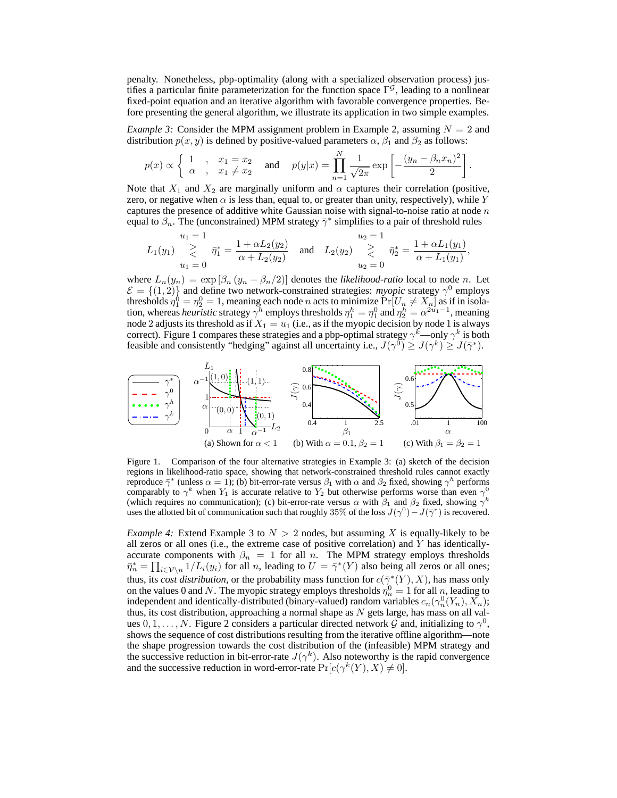penalty. Nonetheless, pbp-optimality (along with a specialized observation process) justifies a particular finite parameterization for the function space  $\Gamma^{\mathcal{G}}$ , leading to a nonlinear fixed-point equation and an iterative algorithm with favorable convergence properties. Before presenting the general algorithm, we illustrate its application in two simple examples.

*Example 3:* Consider the MPM assignment problem in Example 2, assuming  $N = 2$  and distribution  $p(x, y)$  is defined by positive-valued parameters  $\alpha$ ,  $\beta_1$  and  $\beta_2$  as follows:

$$
p(x) \propto \begin{cases} 1, & x_1 = x_2 \\ \alpha, & x_1 \neq x_2 \end{cases}
$$
 and  $p(y|x) = \prod_{n=1}^N \frac{1}{\sqrt{2\pi}} \exp \left[ -\frac{(y_n - \beta_n x_n)^2}{2} \right].$ 

Note that  $X_1$  and  $X_2$  are marginally uniform and  $\alpha$  captures their correlation (positive, zero, or negative when  $\alpha$  is less than, equal to, or greater than unity, respectively), while Y captures the presence of additive white Gaussian noise with signal-to-noise ratio at node  $n$ equal to  $\beta_n$ . The (unconstrained) MPM strategy  $\bar{\gamma}^*$  simplifies to a pair of threshold rules

$$
L_1(y_1) \sum_{u_1=0}^{u_1=1} \bar{\eta}_1^* = \frac{1+\alpha L_2(y_2)}{\alpha + L_2(y_2)} \quad \text{and} \quad L_2(y_2) \sum_{u_2=0}^{u_2=1} \bar{\eta}_2^* = \frac{1+\alpha L_1(y_1)}{\alpha + L_1(y_1)},
$$

where  $L_n(y_n) = \exp [\beta_n (y_n - \beta_n/2)]$  denotes the *likelihood-ratio* local to node *n*. Let  $\mathcal{E} = \{(1, 2)\}\$  and define two network-constrained strategies: *myopic* strategy  $\gamma^0$  employs thresholds  $\eta_1^0 = \eta_2^0 = 1$ , meaning each node *n* acts to minimize  $\Pr[U_n \neq X_n]$  as if in isolation, whereas *heuristic* strategy  $\gamma^h$  employs thresholds  $\eta_1^h = \eta_1^0$  and  $\eta_2^h = \alpha^{2u_1 - 1}$ , meaning node 2 adjusts its threshold as if  $X_1 = u_1$  (i.e., as if the myopic decision by node 1 is always correct). Figure 1 compares these strategies and a pbp-optimal strategy  $\gamma^k$ —only  $\gamma^k$  is both feasible and consistently "hedging" against all uncertainty i.e.,  $J(\gamma^0) \ge J(\gamma^k) \ge J(\bar{\gamma}^*)$ .



Figure 1. Comparison of the four alternative strategies in Example 3: (a) sketch of the decision regions in likelihood-ratio space, showing that network-constrained threshold rules cannot exactly reproduce  $\bar{\gamma}^*$  (unless  $\alpha = 1$ ); (b) bit-error-rate versus  $\beta_1$  with  $\alpha$  and  $\beta_2$  fixed, showing  $\gamma^h$  performs comparably to  $\gamma^k$  when  $Y_1$  is accurate relative to  $Y_2$  but otherwise performs worse than even  $\gamma^0$ (which requires no communication); (c) bit-error-rate versus  $\alpha$  with  $\beta_1$  and  $\beta_2$  fixed, showing  $\gamma^k$ uses the allotted bit of communication such that roughly 35% of the loss  $J(\gamma^0) - J(\bar{\gamma}^*)$  is recovered.

*Example 4:* Extend Example 3 to  $N > 2$  nodes, but assuming X is equally-likely to be all zeros or all ones (i.e., the extreme case of positive correlation) and  $Y$  has identicallyaccurate components with  $\beta_n = 1$  for all n. The MPM strategy employs thresholds  $\bar{\eta}_n^* = \prod_{i \in \mathcal{V} \setminus n} 1/L_i(y_i)$  for all n, leading to  $U = \bar{\gamma}^*(Y)$  also being all zeros or all ones; thus, its *cost distribution*, or the probability mass function for  $c(\bar{\gamma}^*(Y), X)$ , has mass only on the values 0 and N. The myopic strategy employs thresholds  $\eta_n^0 = 1$  for all n, leading to independent and identically-distributed (binary-valued) random variables  $c_n(\gamma_n^0(Y_n), X_n)$ ; thus, its cost distribution, approaching a normal shape as  $N$  gets large, has mass on all values  $0, 1, \ldots, N$ . Figure 2 considers a particular directed network G and, initializing to  $\gamma^0$ , shows the sequence of cost distributions resulting from the iterative offline algorithm—note the shape progression towards the cost distribution of the (infeasible) MPM strategy and the successive reduction in bit-error-rate  $J(\gamma^k)$ . Also noteworthy is the rapid convergence and the successive reduction in word-error-rate  $Pr[c(\gamma^{k}(Y), X) \neq 0]$ .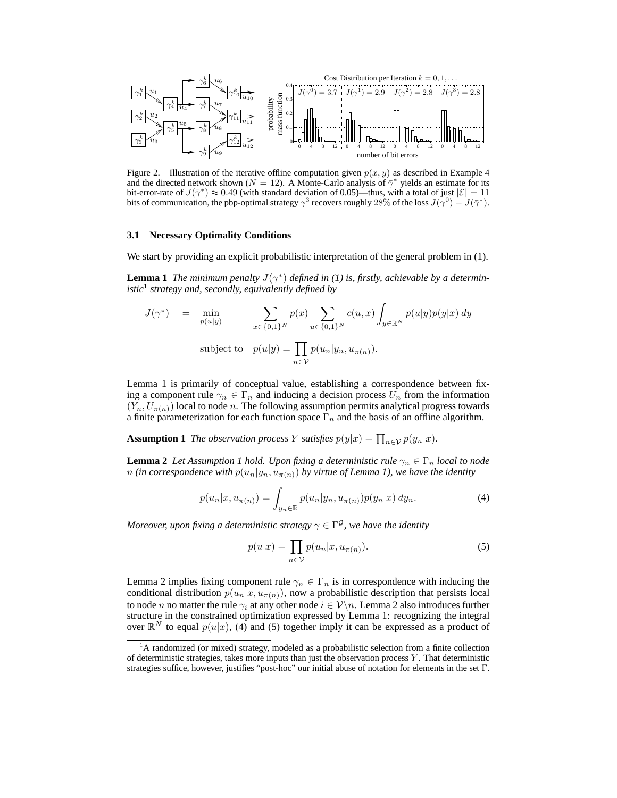

Figure 2. Illustration of the iterative offline computation given  $p(x, y)$  as described in Example 4 and the directed network shown ( $N = 12$ ). A Monte-Carlo analysis of  $\bar{\gamma}^*$  yields an estimate for its bit-error-rate of  $J(\bar{\gamma}^*) \approx 0.49$  (with standard deviation of 0.05)—thus, with a total of just  $|\mathcal{E}| = 11$ bits of communication, the pbp-optimal strategy  $\gamma^3$  recovers roughly 28% of the loss  $J(\gamma^0) - J(\bar{\gamma}^*)$ .

#### **3.1 Necessary Optimality Conditions**

We start by providing an explicit probabilistic interpretation of the general problem in  $(1)$ .

**Lemma 1** *The minimum penalty*  $J(\gamma^*)$  *defined in (1) is, firstly, achievable by a deterministic*<sup>1</sup> *strategy and, secondly, equivalently defined by*

$$
J(\gamma^*) = \min_{p(u|y)} \sum_{x \in \{0,1\}^N} p(x) \sum_{u \in \{0,1\}^N} c(u,x) \int_{y \in \mathbb{R}^N} p(u|y)p(y|x) dy
$$
  
subject to 
$$
p(u|y) = \prod_{n \in \mathcal{V}} p(u_n|y_n, u_{\pi(n)}).
$$

Lemma 1 is primarily of conceptual value, establishing a correspondence between fixing a component rule  $\gamma_n \in \Gamma_n$  and inducing a decision process  $U_n$  from the information  $(Y_n, U_{\pi(n)})$  local to node n. The following assumption permits analytical progress towards a finite parameterization for each function space  $\Gamma_n$  and the basis of an offline algorithm.

**Assumption 1** *The observation process Y satisfies*  $p(y|x) = \prod_{n \in \mathcal{V}} p(y_n|x)$ *.* 

**Lemma 2** *Let Assumption 1 hold. Upon fixing a deterministic rule*  $\gamma_n \in \Gamma_n$  *local to node n* (in correspondence with  $p(u_n|y_n, u_{\pi(n)})$  by virtue of Lemma 1), we have the identity

$$
p(u_n|x, u_{\pi(n)}) = \int_{y_n \in \mathbb{R}} p(u_n|y_n, u_{\pi(n)}) p(y_n|x) \, dy_n. \tag{4}
$$

Moreover, upon fixing a deterministic strategy  $\gamma \in \Gamma^{\mathcal{G}}$ , we have the identity

$$
p(u|x) = \prod_{n \in \mathcal{V}} p(u_n|x, u_{\pi(n)}).
$$
 (5)

Lemma 2 implies fixing component rule  $\gamma_n \in \Gamma_n$  is in correspondence with inducing the conditional distribution  $p(u_n|x, u_{\pi(n)})$ , now a probabilistic description that persists local to node *n* no matter the rule  $\gamma_i$  at any other node  $i \in \mathcal{V}\backslash n$ . Lemma 2 also introduces further structure in the constrained optimization expressed by Lemma 1: recognizing the integral over  $\mathbb{R}^N$  to equal  $p(u|x)$ , (4) and (5) together imply it can be expressed as a product of

 $<sup>1</sup>A$  randomized (or mixed) strategy, modeled as a probabilistic selection from a finite collection</sup> of deterministic strategies, takes more inputs than just the observation process Y . That deterministic strategies suffice, however, justifies "post-hoc" our initial abuse of notation for elements in the set Γ.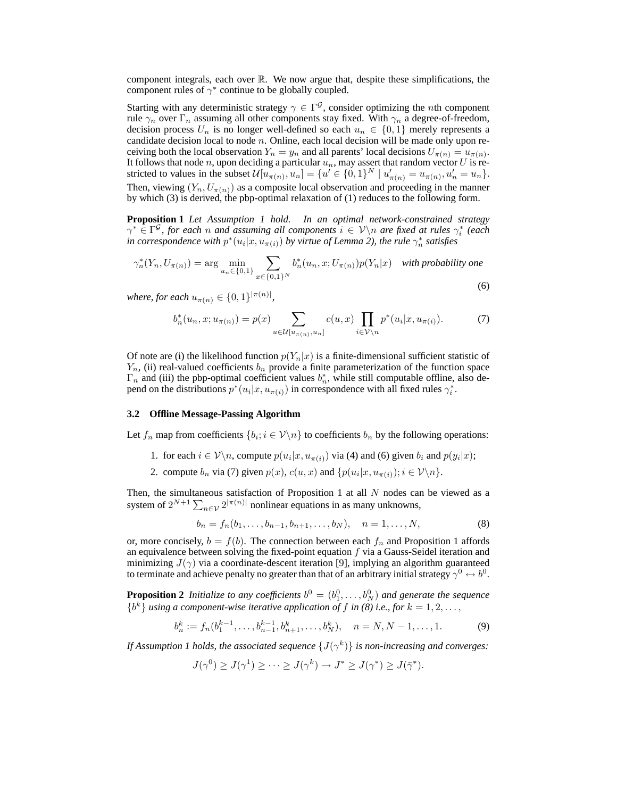component integrals, each over  $\mathbb R$ . We now argue that, despite these simplifications, the component rules of  $\gamma^*$  continue to be globally coupled.

Starting with any deterministic strategy  $\gamma \in \Gamma^{\mathcal{G}}$ , consider optimizing the *n*th component rule  $\gamma_n$  over  $\Gamma_n$  assuming all other components stay fixed. With  $\gamma_n$  a degree-of-freedom, decision process  $U_n$  is no longer well-defined so each  $u_n \in \{0,1\}$  merely represents a candidate decision local to node  $n$ . Online, each local decision will be made only upon receiving both the local observation  $Y_n = y_n$  and all parents' local decisions  $U_{\pi(n)} = u_{\pi(n)}$ . It follows that node  $n$ , upon deciding a particular  $u_n$ , may assert that random vector  $U$  is restricted to values in the subset  $\mathcal{U}[u_{\pi(n)}, u_n] = \{u' \in \{0, 1\}^N \mid u'_{\pi(n)} = u_{\pi(n)}, u'_n = u_n\}.$ Then, viewing  $(Y_n, U_{\pi(n)})$  as a composite local observation and proceeding in the manner by which (3) is derived, the pbp-optimal relaxation of (1) reduces to the following form.

**Proposition 1** *Let Assumption 1 hold. In an optimal network-constrained strategy*  $\gamma^* \in \Gamma^{\mathcal{G}}$ , for each *n* and assuming all components  $i \in \mathcal{V} \setminus n$  are fixed at rules  $\gamma_i^*$  (each in correspondence with  $p^*(u_i|x, u_{\pi(i)})$  by virtue of Lemma 2), the rule  $\gamma_n^*$  satisfies

$$
\gamma_n^*(Y_n, U_{\pi(n)}) = \arg\min_{u_n \in \{0,1\}} \sum_{x \in \{0,1\}^N} b_n^*(u_n, x; U_{\pi(n)}) p(Y_n | x) \quad \text{with probability one}
$$
\n
$$
(6)
$$

where, for each  $u_{\pi(n)} \in \{0,1\}^{|\pi(n)|}$ ,

$$
b_n^*(u_n, x; u_{\pi(n)}) = p(x) \sum_{u \in \mathcal{U}[u_{\pi(n)}, u_n]} c(u, x) \prod_{i \in \mathcal{V} \setminus n} p^*(u_i | x, u_{\pi(i)}).
$$
 (7)

Of note are (i) the likelihood function  $p(Y_n|x)$  is a finite-dimensional sufficient statistic of  $Y_n$ , (ii) real-valued coefficients  $b_n$  provide a finite parameterization of the function space  $\Gamma_n$  and (iii) the pbp-optimal coefficient values  $b_n^*$ , while still computable offline, also depend on the distributions  $p^*(u_i|x, u_{\pi(i)})$  in correspondence with all fixed rules  $\gamma_i^*$ .

## **3.2 Offline Message-Passing Algorithm**

Let  $f_n$  map from coefficients  $\{b_i; i \in \mathcal{V} \backslash n\}$  to coefficients  $b_n$  by the following operations:

- 1. for each  $i \in \mathcal{V} \backslash n$ , compute  $p(u_i|x, u_{\pi(i)})$  via (4) and (6) given  $b_i$  and  $p(y_i|x)$ ;
- 2. compute  $b_n$  via (7) given  $p(x)$ ,  $c(u, x)$  and  $\{p(u_i|x, u_{\pi(i)})$ ;  $i \in \mathcal{V} \backslash n\}$ .

Then, the simultaneous satisfaction of Proposition 1 at all  $N$  nodes can be viewed as a system of  $2^{N+1} \sum_{n \in \mathcal{V}} 2^{|\pi(n)|}$  nonlinear equations in as many unknowns,

$$
b_n = f_n(b_1, \dots, b_{n-1}, b_{n+1}, \dots, b_N), \quad n = 1, \dots, N,
$$
 (8)

or, more concisely,  $b = f(b)$ . The connection between each  $f_n$  and Proposition 1 affords an equivalence between solving the fixed-point equation  $f$  via a Gauss-Seidel iteration and minimizing  $J(\gamma)$  via a coordinate-descent iteration [9], implying an algorithm guaranteed to terminate and achieve penalty no greater than that of an arbitrary initial strategy  $\gamma^0 \leftrightarrow b^0.$ 

**Proposition 2** *Initialize to any coefficients*  $b^0 = (b_1^0, \ldots, b_N^0)$  *and generate the sequence*  ${b^k}$  *using a component-wise iterative application of* f *in (8) i.e., for*  $k = 1, 2, \ldots$ ,

$$
b_n^k := f_n(b_1^{k-1}, \dots, b_{n-1}^{k-1}, b_{n+1}^k, \dots, b_N^k), \quad n = N, N-1, \dots, 1.
$$
 (9)

If Assumption 1 holds, the associated sequence  $\{J(\gamma^k)\}$  is non-increasing and converges:

$$
J(\gamma^{0}) \geq J(\gamma^{1}) \geq \cdots \geq J(\gamma^{k}) \to J^{*} \geq J(\gamma^{*}) \geq J(\bar{\gamma}^{*}).
$$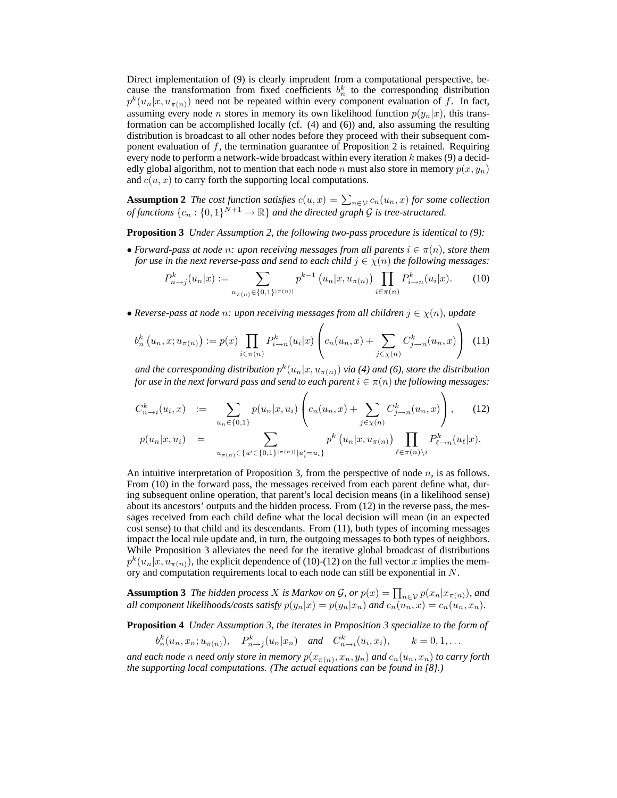Direct implementation of (9) is clearly imprudent from a computational perspective, because the transformation from fixed coefficients  $b_n^k$  to the corresponding distribution  $p^k(u_n|x, u_{\pi(n)})$  need not be repeated within every component evaluation of f. In fact, assuming every node *n* stores in memory its own likelihood function  $p(y_n|x)$ , this transformation can be accomplished locally (cf. (4) and (6)) and, also assuming the resulting distribution is broadcast to all other nodes before they proceed with their subsequent component evaluation of  $f$ , the termination guarantee of Proposition 2 is retained. Requiring every node to perform a network-wide broadcast within every iteration  $k$  makes (9) a decidedly global algorithm, not to mention that each node n must also store in memory  $p(x, y_n)$ and  $c(u, x)$  to carry forth the supporting local computations.

**Assumption 2** The cost function satisfies  $c(u, x) = \sum_{n \in \mathcal{V}} c_n(u_n, x)$  for some collection *of functions*  $\{c_n : \{0,1\}^{N+1} \to \mathbb{R}\}$  *and the directed graph*  $\mathcal G$  *is tree-structured.* 

**Proposition 3** *Under Assumption 2, the following two-pass procedure is identical to (9):*

• *Forward-pass at node n: upon receiving messages from all parents*  $i \in \pi(n)$ *, store them for use in the next reverse-pass and send to each child*  $j \in \chi(n)$  *the following messages:* 

$$
P_{n\to j}^k(u_n|x) := \sum_{u_{\pi(n)} \in \{0,1\}^{|\pi(n)|}} p^{k-1} \left( u_n|x, u_{\pi(n)} \right) \prod_{i \in \pi(n)} P_{i \to n}^k(u_i|x). \tag{10}
$$

• *Reverse-pass at node n: upon receiving messages from all children*  $j \in \chi(n)$ *, update* 

$$
b_n^k(u_n, x; u_{\pi(n)}) := p(x) \prod_{i \in \pi(n)} P_{i \to n}^k(u_i | x) \left( c_n(u_n, x) + \sum_{j \in \chi(n)} C_{j \to n}^k(u_n, x) \right) \tag{11}
$$

and the corresponding distribution  $p^k(u_n|x,u_{\pi(n)})$  via (4) and (6), store the distribution *for use in the next forward pass and send to each parent*  $i \in \pi(n)$  *the following messages:* 

$$
C_{n\to i}^k(u_i, x) := \sum_{u_n \in \{0,1\}} p(u_n | x, u_i) \left( c_n(u_n, x) + \sum_{j \in \chi(n)} C_{j\to n}^k(u_n, x) \right), \quad (12)
$$

$$
p(u_n | x, u_i) = \sum_{u_{\pi(n)} \in \{u' \in \{0,1\}^{|\pi(n)|} | u'_i = u_i\}} p^k (u_n | x, u_{\pi(n)}) \prod_{\ell \in \pi(n) \backslash i} P_{\ell \to n}^k (u_\ell | x).
$$

An intuitive interpretation of Proposition 3, from the perspective of node  $n$ , is as follows. From (10) in the forward pass, the messages received from each parent define what, during subsequent online operation, that parent's local decision means (in a likelihood sense) about its ancestors' outputs and the hidden process. From (12) in the reverse pass, the messages received from each child define what the local decision will mean (in an expected cost sense) to that child and its descendants. From (11), both types of incoming messages impact the local rule update and, in turn, the outgoing messages to both types of neighbors. While Proposition 3 alleviates the need for the iterative global broadcast of distributions  $p^k(u_n|x, u_{\pi(n)})$ , the explicit dependence of (10)-(12) on the full vector x implies the memory and computation requirements local to each node can still be exponential in N.

**Assumption 3** *The hidden process* X *is Markov on* G, or  $p(x) = \prod_{n \in \mathcal{V}} p(x_n | x_{\pi(n)})$ , and *all component likelihoods/costs satisfy*  $p(y_n|x) = p(y_n|x_n)$  *and*  $c_n(u_n, x) = c_n(u_n, x_n)$ .

**Proposition 4** *Under Assumption 3, the iterates in Proposition 3 specialize to the form of*

$$
b_n^k(u_n, x_n; u_{\pi(n)})
$$
,  $P_{n \to j}^k(u_n|x_n)$  and  $C_{n \to i}^k(u_i, x_i)$ ,  $k = 0, 1, ...$ 

and each node  $n$  need only store in memory  $p(x_{\pi(n)},x_n,y_n)$  and  $c_n(u_n,x_n)$  to carry forth *the supporting local computations. (The actual equations can be found in [8].)*